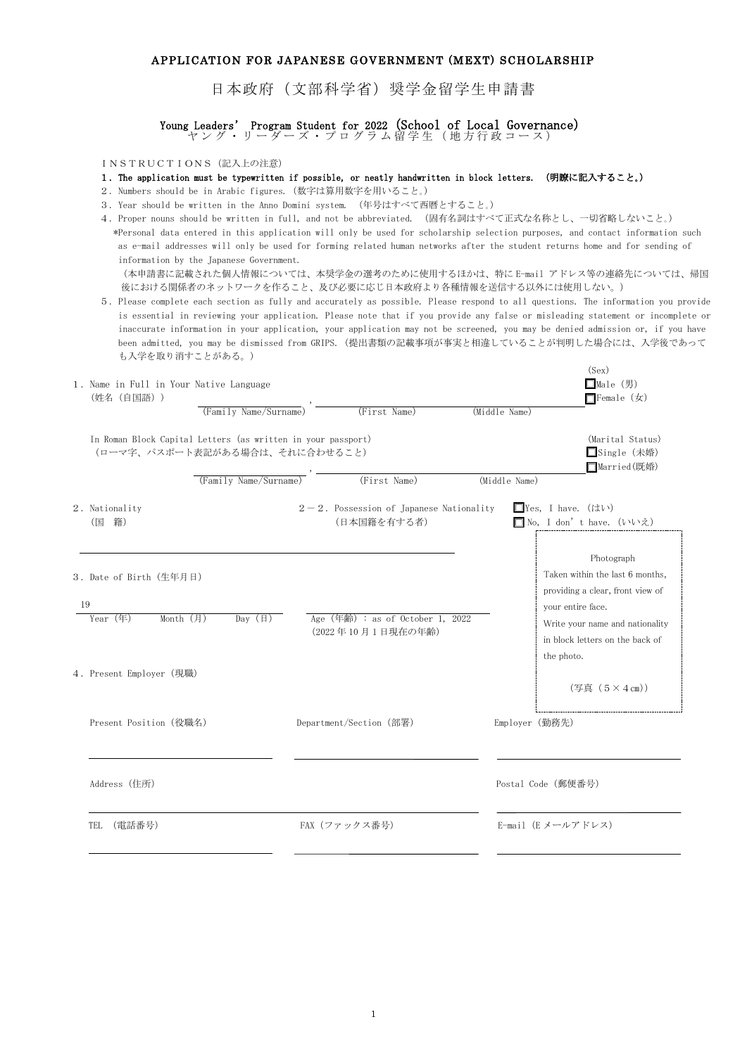## APPLICATION FOR JAPANESE GOVERNMENT (MEXT) SCHOLARSHIP

日本政府(文部科学省)奨学金留学生申請書

Young Leaders' Program Student for 2022(School of Local Governance) ヤング・リーダーズ・プログラム留学生(地方行政コース)

INSTRUCTIONS(記入上の注意)

### 1.The application must be typewritten if possible, or neatly handwritten in block letters. (明瞭に記入すること。)

- 2.Numbers should be in Arabic figures.(数字は算用数字を用いること。)
- 3.Year should be written in the Anno Domini system. (年号はすべて西暦とすること。)
- 4.Proper nouns should be written in full, and not be abbreviated. (固有名詞はすべて正式な名称とし、一切省略しないこと。) \*Personal data entered in this application will only be used for scholarship selection purposes, and contact information such as e-mail addresses will only be used for forming related human networks after the student returns home and for sending of

information by the Japanese Government. (本申請書に記載された個人情報については、本奨学金の選考のために使用するほかは、特に E-mail アドレス等の連絡先については、帰国 後における関係者のネットワークを作ること、及び必要に応じ日本政府より各種情報を送信する以外には使用しない。)

 5.Please complete each section as fully and accurately as possible. Please respond to all questions. The information you provide is essential in reviewing your application. Please note that if you provide any false or misleading statement or incomplete or inaccurate information in your application, your application may not be screened, you may be denied admission or, if you have been admitted, you may be dismissed from GRIPS.(提出書類の記載事項が事実と相違していることが判明した場合には、入学後であって も入学を取り消すことがある。)

 $(c, \ldots)$ 

|    | 1. Name in Full in Your Native Language<br>(姓名 (自国語))                                          | (Family Name/Surname) | (First Name)                                              | (Middle Name) | $(\triangle E)$<br>□Male $(  \, \mathbf{E} )$<br>$\Box$ Female $(\nexists x)$                                                                                                              |
|----|------------------------------------------------------------------------------------------------|-----------------------|-----------------------------------------------------------|---------------|--------------------------------------------------------------------------------------------------------------------------------------------------------------------------------------------|
|    | In Roman Block Capital Letters (as written in your passport)<br>(ローマ字、パスポート表記がある場合は、それに合わせること) |                       |                                                           |               | (Marital Status)<br>□Single (未婚)<br>□ Married (既婚)                                                                                                                                         |
|    |                                                                                                | (Family Name/Surname) | (First Name)                                              | (Middle Name) |                                                                                                                                                                                            |
|    | 2. Nationality<br>(国 籍)                                                                        |                       | $2-2$ . Possession of Japanese Nationality<br>(日本国籍を有する者) |               | □Yes, I have. (はい)<br>□ No, I don' t have. (いいえ)                                                                                                                                           |
| 19 | 3. Date of Birth (生年月日)<br>Year (年)<br>Month (月)<br>4. Present Employer (現職)                   | Day $(\boxplus)$      | Age $(4m)$ : as of October 1, 2022<br>(2022年10月1日現在の年齢)   |               | Photograph<br>Taken within the last 6 months,<br>providing a clear, front view of<br>your entire face.<br>Write your name and nationality<br>in block letters on the back of<br>the photo. |
|    | Present Position (役職名)                                                                         |                       | Department/Section (部署)                                   |               | $(4, 5 \times 4)$<br>Employer (勤務先)                                                                                                                                                        |
|    | Address (住所)                                                                                   |                       |                                                           |               | Postal Code (郵便番号)                                                                                                                                                                         |
|    | (雷話番号)<br>TEL                                                                                  |                       | FAX (ファックス番号)                                             |               | E-mail (Eメールアドレス)                                                                                                                                                                          |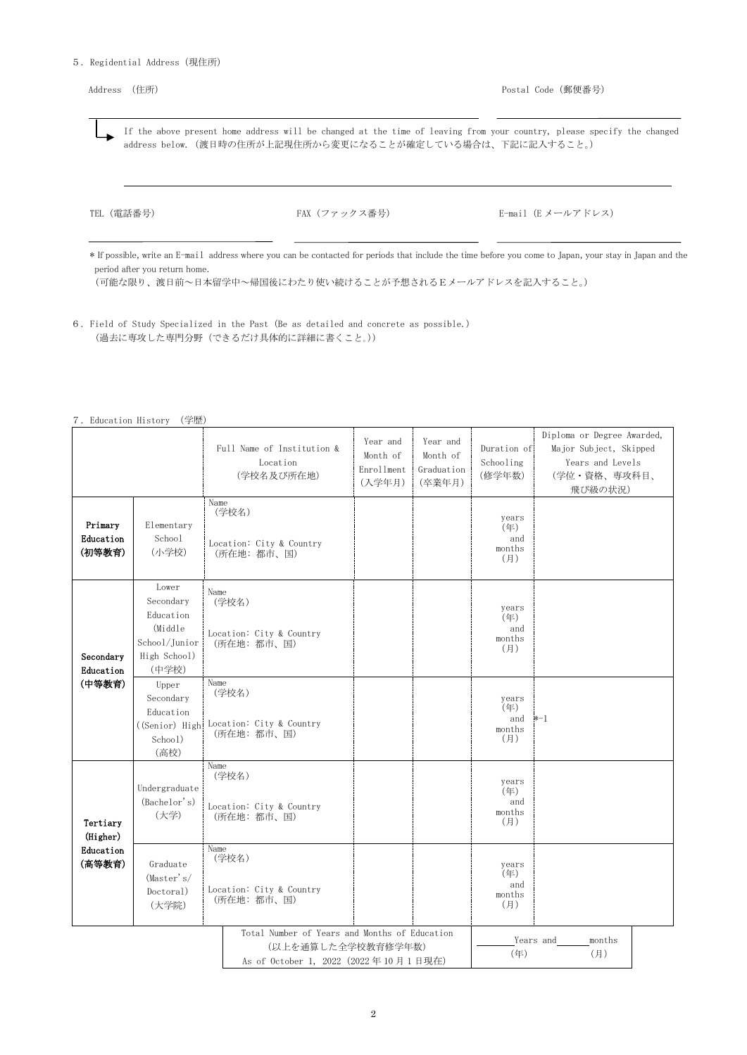### 5.Regidential Address(現住所)

 If the above present home address will be changed at the time of leaving from your country, please specify the changed address below.(渡日時の住所が上記現住所から変更になることが確定している場合は、下記に記入すること。)

TEL (電話番号) FAX (ファックス番号) E-mail (E メールアドレス)

\* If possible, write an E-mail address where you can be contacted for periods that include the time before you come to Japan, your stay in Japan and the period after you return home.

(可能な限り、渡日前~日本留学中~帰国後にわたり使い続けることが予想されるEメールアドレスを記入すること。)

6.Field of Study Specialized in the Past (Be as detailed and concrete as possible.) (過去に専攻した専門分野(できるだけ具体的に詳細に書くこと。))

| $\overline{ }$ | Education History |  | (学歴) |
|----------------|-------------------|--|------|
|----------------|-------------------|--|------|

|                                |                                                                                      | Full Name of Institution &<br>Location<br>(学校名及び所在地)                                                        | Year and<br>Month of<br>Enrollment<br>(入学年月) | Year and<br>Month of<br>Graduation<br>(卒業年月) | Duration of<br>Schooling<br>(修学年数)   | Diploma or Degree Awarded,<br>Major Subject, Skipped<br>Years and Levels<br>(学位・資格、専攻科目、<br>飛び級の状況) |  |
|--------------------------------|--------------------------------------------------------------------------------------|-------------------------------------------------------------------------------------------------------------|----------------------------------------------|----------------------------------------------|--------------------------------------|-----------------------------------------------------------------------------------------------------|--|
| Primary<br>Education<br>(初等教育) | Elementary<br>School<br>(小学校)                                                        | Name<br>(学校名)<br>Location: City & Country<br>(所在地:都市、国)                                                     |                                              |                                              | years<br>(年)<br>and<br>months<br>(月) |                                                                                                     |  |
| Secondary<br>Education         | Lower<br>Secondary<br>Education<br>(Middle<br>School/Junior<br>High School)<br>(中学校) | Name<br>(学校名)<br>Location: City & Country<br>(所在地:都市、国)                                                     |                                              |                                              | years<br>(年)<br>and<br>months<br>(月) |                                                                                                     |  |
| (中等教育)                         | Upper<br>Secondary<br>Education<br>School)<br>(高校)                                   | Name<br>(学校名)<br>((Senior) High Location: City & Country<br>(所在地:都市、国)                                      |                                              |                                              | years<br>(年)<br>and<br>months<br>(月) | $* - 1$                                                                                             |  |
| Tertiary<br>(Higher)           | Undergraduate<br>(Bachelor's)<br>(大学)                                                | Name<br>(学校名)<br>Location: City & Country<br>(所在地:都市、国)                                                     |                                              |                                              | years<br>(年)<br>and<br>months<br>(月) |                                                                                                     |  |
| Education<br>(高等教育)            | Graduate<br>(Master's/<br>Doctoral)<br>(大学院)                                         | Name<br>(学校名)<br>Location: City & Country<br>(所在地:都市、国)                                                     |                                              |                                              | years<br>(年)<br>and<br>months<br>(月) |                                                                                                     |  |
|                                |                                                                                      | Total Number of Years and Months of Education<br>(以上を通算した全学校教育修学年数)<br>As of October 1, 2022 (2022年10月1日現在) |                                              |                                              | $(\#)$                               | Years and<br>months<br>(月)                                                                          |  |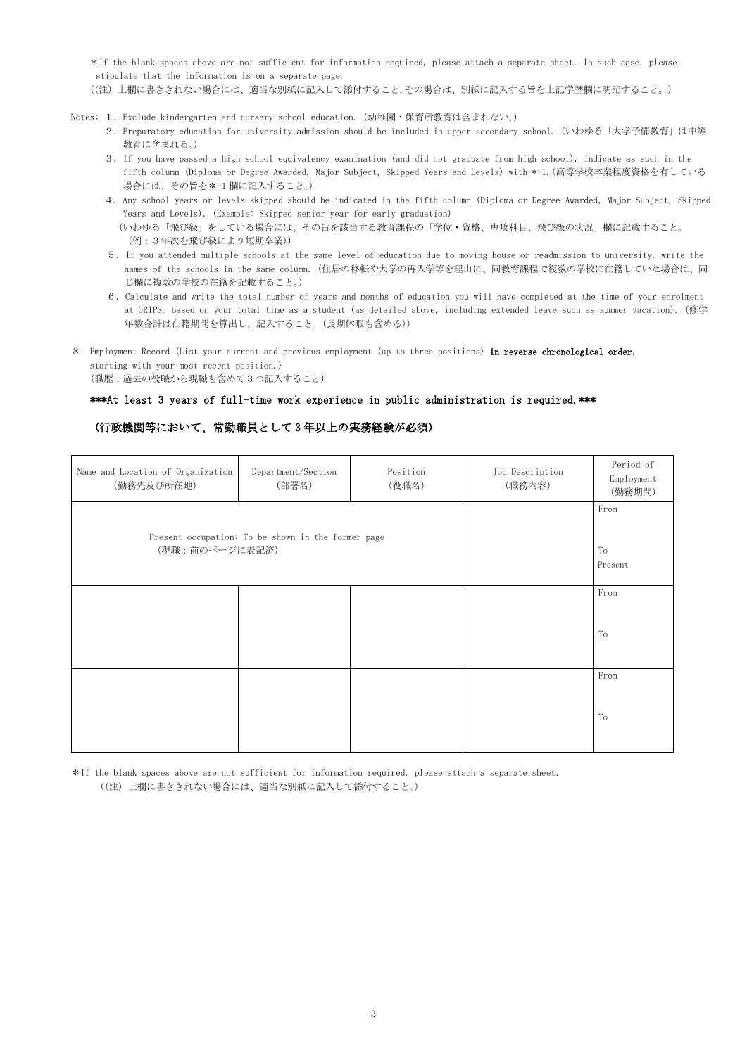\*If the blank spaces above are not sufficient for information required, please attach a separate sheet.In such case, please stipulate that the information is on a separate page.

((注) 上欄に書ききれない場合には、適当な別紙に記入して添付すること。その場合は、別紙に記入する旨を上記学歴欄に明記すること。)

- Notes: 1.Exclude kindergarten and nursery school education. (幼稚園・保育所教育は含まれない。)
	- 2.Preparatory education for university admission should be included in upper secondary school.(いわゆる「大学予備教育」は中等 教育に含まれる。)
	- 3.If you have passed a high school equivalency examination (and did not graduate from high school), indicate as such in the fifth column (Diploma or Degree Awarded, Major Subject, Skipped Years and Levels) with \*-1.(高等学校卒業程度資格を有している 場合には、その旨を\*-1 欄に記入すること。)
	- 4. Any school years or levels skipped should be indicated in the fifth column (Diploma or Degree Awarded, Major Subject, Skipped Years and Levels). (Example: Skipped senior year for early graduation)

- 5.If you attended multiple schools at the same level of education due to moving house or readmission to university, write the names of the schools in the same column.(住居の移転や大学の再入学等を理由に、同教育課程で複数の学校に在籍していた場合は、同 じ欄に複数の学校の在籍を記載すること。)
- 6. Calculate and write the total number of years and months of education you will have completed at the time of your enrolment at GRIPS, based on your total time as a student (as detailed above, including extended leave such as summer vacation).(修学 年数合計は在籍期間を算出し、記入すること。(長期休暇も含める))
- 8.Employment Record (List your current and previous employment (up to three positions) in reverse chronological order, starting with your most recent position.) (職歴:過去の役職から現職も含めて3つ記入すること)

### \*\*\*At least 3 years of full-time work experience in public administration is required.\*\*\*

# (行政機関等において、常勤職員として 3 年以上の実務経験が必須)

| Name and Location of Organization<br>(勤務先及び所在地) | Department/Section<br>(部署名)                        | Position<br>(役職名) | Job Description<br>(職務内容) | Period of<br>Employment<br>(勤務期間) |
|-------------------------------------------------|----------------------------------------------------|-------------------|---------------------------|-----------------------------------|
| (現職:前のページに表記済)                                  | Present occupation: To be shown in the former page |                   |                           | From<br>To<br>Present             |
|                                                 |                                                    |                   |                           | From<br>To                        |
|                                                 |                                                    |                   |                           | From<br>To                        |

\*If the blank spaces above are not sufficient for information required, please attach a separate sheet. ((注) 上欄に書ききれない場合には、適当な別紙に記入して添付すること。)

 <sup>(</sup>いわゆる「飛び級」をしている場合には、その旨を該当する教育課程の「学位・資格、専攻科目、飛び級の状況」欄に記載すること。 (例:3年次を飛び級により短期卒業))